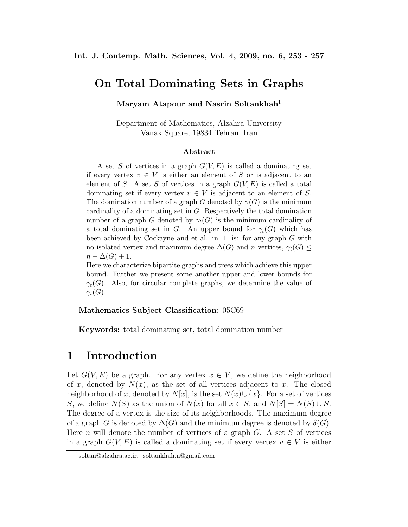### **On Total Dominating Sets in Graphs**

#### **Maryam Atapour and Nasrin Soltankhah**<sup>1</sup>

Department of Mathematics, Alzahra University Vanak Square, 19834 Tehran, Iran

#### **Abstract**

A set S of vertices in a graph  $G(V, E)$  is called a dominating set if every vertex  $v \in V$  is either an element of S or is adjacent to an element of S. A set S of vertices in a graph  $G(V, E)$  is called a total dominating set if every vertex  $v \in V$  is adjacent to an element of S. The domination number of a graph G denoted by  $\gamma(G)$  is the minimum cardinality of a dominating set in G. Respectively the total domination number of a graph G denoted by  $\gamma_t(G)$  is the minimum cardinality of a total dominating set in G. An upper bound for  $\gamma_t(G)$  which has been achieved by Cockayne and et al. in  $[1]$  is: for any graph G with no isolated vertex and maximum degree  $\Delta(G)$  and n vertices,  $\gamma_t(G) \leq$  $n - \Delta(G) + 1.$ 

Here we characterize bipartite graphs and trees which achieve this upper bound. Further we present some another upper and lower bounds for  $\gamma_t(G)$ . Also, for circular complete graphs, we determine the value of  $\gamma_t(G)$ .

#### **Mathematics Subject Classification:** 05C69

**Keywords:** total dominating set, total domination number

### **1 Introduction**

Let  $G(V, E)$  be a graph. For any vertex  $x \in V$ , we define the neighborhood of x, denoted by  $N(x)$ , as the set of all vertices adjacent to x. The closed neighborhood of x, denoted by  $N[x]$ , is the set  $N(x) \cup \{x\}$ . For a set of vertices S, we define  $N(S)$  as the union of  $N(x)$  for all  $x \in S$ , and  $N[S] = N(S) \cup S$ . The degree of a vertex is the size of its neighborhoods. The maximum degree of a graph G is denoted by  $\Delta(G)$  and the minimum degree is denoted by  $\delta(G)$ . Here n will denote the number of vertices of a graph  $G$ . A set S of vertices in a graph  $G(V, E)$  is called a dominating set if every vertex  $v \in V$  is either

<sup>1</sup>soltan@alzahra.ac.ir, soltankhah.n@gmail.com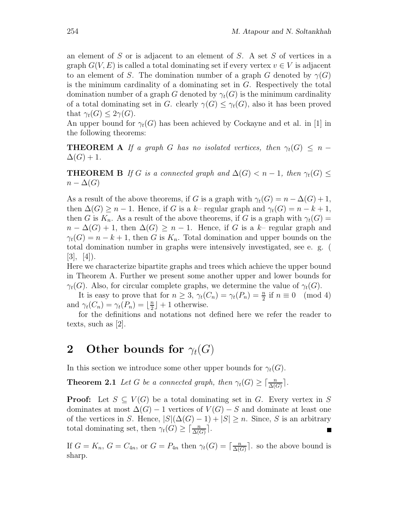an element of S or is adjacent to an element of S. A set S of vertices in a graph  $G(V, E)$  is called a total dominating set if every vertex  $v \in V$  is adjacent to an element of S. The domination number of a graph G denoted by  $\gamma(G)$ is the minimum cardinality of a dominating set in  $G$ . Respectively the total domination number of a graph G denoted by  $\gamma_t(G)$  is the minimum cardinality of a total dominating set in G. clearly  $\gamma(G) \leq \gamma_t(G)$ , also it has been proved that  $\gamma_t(G) \leq 2\gamma(G)$ .

An upper bound for  $\gamma_t(G)$  has been achieved by Cockayne and et al. in [1] in the following theorems:

**THEOREM A** *If a graph* G *has no isolated vertices, then*  $\gamma_t(G) \leq n \Delta(G)+1$ .

**THEOREM B** *If* G *is a connected graph and*  $\Delta(G) < n - 1$ *, then*  $\gamma_t(G) \le$  $n - \Delta(G)$ 

As a result of the above theorems, if G is a graph with  $\gamma_t(G) = n - \Delta(G) + 1$ , then  $\Delta(G) \geq n-1$ . Hence, if G is a k– regular graph and  $\gamma_t(G) = n - k + 1$ , then G is  $K_n$ . As a result of the above theorems, if G is a graph with  $\gamma_t(G)$  =  $n - \Delta(G) + 1$ , then  $\Delta(G) \geq n - 1$ . Hence, if G is a k- regular graph and  $\gamma_t(G) = n - k + 1$ , then G is  $K_n$ . Total domination and upper bounds on the total domination number in graphs were intensively investigated, see e. g. (  $[3], [4]$ .

Here we characterize bipartite graphs and trees which achieve the upper bound in Theorem A. Further we present some another upper and lower bounds for  $\gamma_t(G)$ . Also, for circular complete graphs, we determine the value of  $\gamma_t(G)$ .

It is easy to prove that for  $n \geq 3$ ,  $\gamma_t(C_n) = \gamma_t(P_n) = \frac{n}{2}$  if  $n \equiv 0 \pmod{4}$ and  $\gamma_t(C_n) = \gamma_t(P_n) = \lfloor \frac{n}{2} \rfloor + 1$  otherwise.

for the definitions and notations not defined here we refer the reader to texts, such as [2].

## **2** Other bounds for  $\gamma_t(G)$

In this section we introduce some other upper bounds for  $\gamma_t(G)$ .

**Theorem 2.1** *Let* G *be a connected graph, then*  $\gamma_t(G) \geq \lceil \frac{n}{\Delta(G)} \rceil$ *.* 

**Proof:** Let  $S \subseteq V(G)$  be a total dominating set in G. Every vertex in S dominates at most  $\Delta(G) - 1$  vertices of  $V(G) - S$  and dominate at least one of the vertices in S. Hence,  $|S|(\Delta(G) - 1) + |S| \ge n$ . Since, S is an arbitrary total dominating set, then  $\gamma_t(G) \geq \lceil \frac{n}{\Delta(G)} \rceil$ .

If  $G = K_n$ ,  $G = C_{4n}$ , or  $G = P_{4n}$  then  $\gamma_t(G) = \lceil \frac{n}{\Delta(G)} \rceil$ , so the above bound is sharp.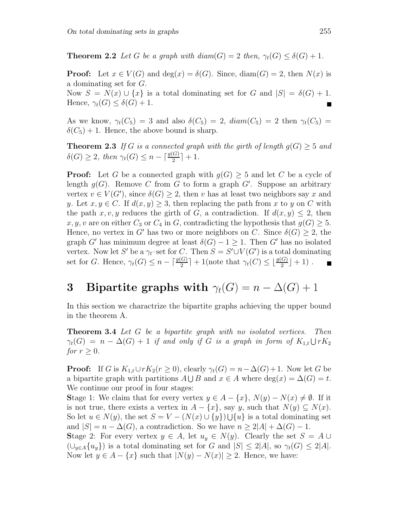**Theorem 2.2** *Let* G *be a graph with diam*(G) = 2 *then,*  $\gamma_t(G) \leq \delta(G) + 1$ *.* 

**Proof:** Let  $x \in V(G)$  and  $\deg(x) = \delta(G)$ . Since,  $\text{diam}(G) = 2$ , then  $N(x)$  is a dominating set for G. Now  $S = N(x) \cup \{x\}$  is a total dominating set for G and  $|S| = \delta(G) + 1$ . Hence,  $\gamma_t(G) \leq \delta(G) + 1$ .

As we know,  $\gamma_t(C_5) = 3$  and also  $\delta(C_5) = 2$ ,  $diam(C_5) = 2$  then  $\gamma_t(C_5) =$  $\delta(C_5) + 1$ . Hence, the above bound is sharp.

**Theorem 2.3** If G is a connected graph with the girth of length  $q(G) > 5$  and  $\delta(G) \geq 2$ , then  $\gamma_t(G) \leq n - \lceil \frac{g(G)}{2} \rceil + 1$ .

**Proof:** Let G be a connected graph with  $q(G) > 5$  and let C be a cycle of length  $g(G)$ . Remove C from G to form a graph G'. Suppose an arbitrary vertex  $v \in V(G')$ , since  $\delta(G) \geq 2$ , then v has at least two neighbors say x and y. Let  $x, y \in C$ . If  $d(x, y) \geq 3$ , then replacing the path from x to y on C with the path x, v, y reduces the girth of G, a contradiction. If  $d(x, y) \leq 2$ , then x, y, v are on either  $C_3$  or  $C_4$  in G, contradicting the hypothesis that  $g(G) \geq 5$ . Hence, no vertex in G' has two or more neighbors on C. Since  $\delta(G) \geq 2$ , the graph G' has minimum degree at least  $\delta(G) - 1 \geq 1$ . Then G' has no isolated vertex. Now let S' be a  $\gamma_t$ -set for C. Then  $S = S' \cup V(G')$  is a total dominating set for G. Hence,  $\gamma_t(G) \leq n - \lceil \frac{g(G)}{2} \rceil + 1$  (note that  $\gamma_t(C) \leq \lfloor \frac{g(G)}{2} \rfloor + 1$ ).

# **3** Bipartite graphs with  $\gamma_t(G) = n - \Delta(G) + 1$

In this section we charactrize the bipartite graphs achieving the upper bound in the theorem A.

**Theorem 3.4** *Let* G *be a bipartite graph with no isolated vertices. Then*  $\gamma_t(G) \ = \ n - \Delta(G) + 1 \ \emph{if and only if $G$ is a graph in form of $K_{1,t} \cup rK_2$}$ *for*  $r \geq 0$ *.* 

**Proof:** If G is  $K_{1,t} \cup rK_2(r \geq 0)$ , clearly  $\gamma_t(G) = n - \Delta(G) + 1$ . Now let G be a bipartite graph with partitions  $A \cup B$  and  $x \in A$  where  $\deg(x) = \Delta(G) = t$ . We continue our proof in four stages:

**Stage 1:** We claim that for every vertex  $y \in A - \{x\}$ ,  $N(y) - N(x) \neq \emptyset$ . If it is not true, there exists a vertex in  $A - \{x\}$ , say y, such that  $N(y) \subseteq N(x)$ . So let  $u \in N(y)$ , the set  $S = V - (N(x) \cup \{y\}) \cup \{u\}$  is a total dominating set and  $|S| = n - \Delta(G)$ , a contradiction. So we have  $n \geq 2|A| + \Delta(G) - 1$ . **Stage 2:** For every vertex  $y \in A$ , let  $u_y \in N(y)$ . Clearly the set  $S = A \cup$  $(\bigcup_{y\in A} \{u_y\})$  is a total dominating set for G and  $|S| \leq 2|A|$ , so  $\gamma_t(G) \leq 2|A|$ . Now let  $y \in A - \{x\}$  such that  $|N(y) - N(x)| \ge 2$ . Hence, we have: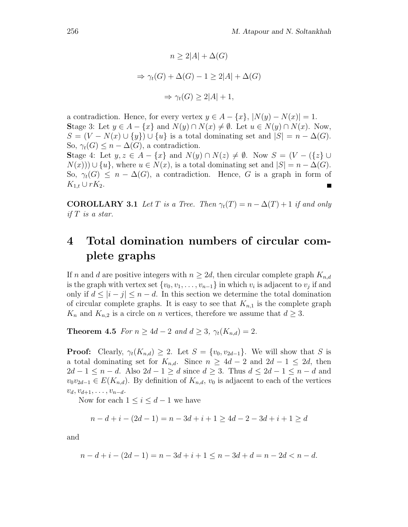$$
n \ge 2|A| + \Delta(G)
$$
  
\n
$$
\Rightarrow \gamma_t(G) + \Delta(G) - 1 \ge 2|A| + \Delta(G)
$$
  
\n
$$
\Rightarrow \gamma_t(G) \ge 2|A| + 1,
$$

a contradiction. Hence, for every vertex  $y \in A - \{x\}$ ,  $|N(y) - N(x)| = 1$ . **Stage 3:** Let  $y \in A - \{x\}$  and  $N(y) \cap N(x) \neq \emptyset$ . Let  $u \in N(y) \cap N(x)$ . Now,  $S = (V - N(x) \cup \{y\}) \cup \{u\}$  is a total dominating set and  $|S| = n - \Delta(G)$ . So,  $\gamma_t(G) \leq n - \Delta(G)$ , a contradiction.

**Stage 4:** Let  $y, z \in A - \{x\}$  and  $N(y) \cap N(z) \neq \emptyset$ . Now  $S = (V - \{\{z\} \cup \{z\})$  $N(x)) \cup \{u\}$ , where  $u \in N(x)$ , is a total dominating set and  $|S| = n - \Delta(G)$ . So,  $\gamma_t(G) \leq n - \Delta(G)$ , a contradiction. Hence, G is a graph in form of  $K_{1,t}\cup rK_2$ . Е

**COROLLARY 3.1** *Let* T *is a Tree. Then*  $\gamma_t(T) = n - \Delta(T) + 1$  *if and only if* T *is a star.*

# **4 Total domination numbers of circular complete graphs**

If n and d are positive integers with  $n \geq 2d$ , then circular complete graph  $K_{n,d}$ is the graph with vertex set  $\{v_0, v_1, \ldots, v_{n-1}\}$  in which  $v_i$  is adjacent to  $v_j$  if and only if  $d \leq |i - j| \leq n - d$ . In this section we determine the total domination of circular complete graphs. It is easy to see that  $K_{n,1}$  is the complete graph  $K_n$  and  $K_{n,2}$  is a circle on n vertices, therefore we assume that  $d \geq 3$ .

**Theorem 4.5** *For*  $n \geq 4d - 2$  *and*  $d \geq 3$ ,  $\gamma_t(K_{n,d}) = 2$ *.* 

**Proof:** Clearly,  $\gamma_t(K_{n,d}) \geq 2$ . Let  $S = \{v_0, v_{2d-1}\}$ . We will show that S is a total dominating set for  $K_{n,d}$ . Since  $n \geq 4d - 2$  and  $2d - 1 \leq 2d$ , then  $2d-1 \leq n-d$ . Also  $2d-1 \geq d$  since  $d \geq 3$ . Thus  $d \leq 2d-1 \leq n-d$  and  $v_0v_{2d-1} \in E(K_{n,d})$ . By definition of  $K_{n,d}$ ,  $v_0$  is adjacent to each of the vertices  $v_d, v_{d+1}, \ldots, v_{n-d}.$ 

Now for each  $1 \leq i \leq d-1$  we have

$$
n-d+i-(2d-1) = n-3d+i+1 \ge 4d-2-3d+i+1 \ge d
$$

and

$$
n-d+i-(2d-1) = n-3d+i+1 \le n-3d+d = n-2d < n-d.
$$